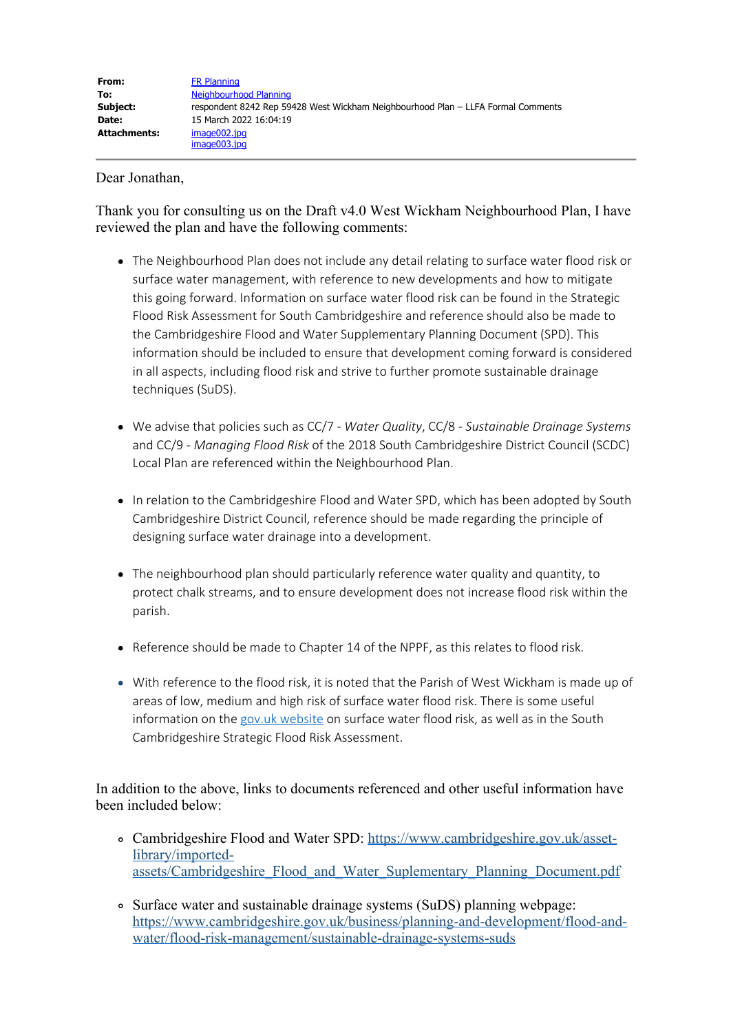### Dear Jonathan,

Thank you for consulting us on the Draft v4.0 West Wickham Neighbourhood Plan, I have reviewed the plan and have the following comments:

- The Neighbourhood Plan does not include any detail relating to surface water flood risk or surface water management, with reference to new developments and how to mitigate this going forward. Information on surface water flood risk can be found in the Strategic Flood Risk Assessment for South Cambridgeshire and reference should also be made to the Cambridgeshire Flood and Water Supplementary Planning Document (SPD). This information should be included to ensure that development coming forward is considered in all aspects, including flood risk and strive to further promote sustainable drainage techniques (SuDS).
- We advise that policies such as CC/7 *Water Quality*, CC/8 *Sustainable Drainage Systems* and CC/9 - *Managing Flood Risk* of the 2018 South Cambridgeshire District Council (SCDC) Local Plan are referenced within the Neighbourhood Plan.
- In relation to the Cambridgeshire Flood and Water SPD, which has been adopted by South Cambridgeshire District Council, reference should be made regarding the principle of designing surface water drainage into a development.
- The neighbourhood plan should particularly reference water quality and quantity, to protect chalk streams, and to ensure development does not increase flood risk within the parish.
- Reference should be made to Chapter 14 of the NPPF, as this relates to flood risk.
- With reference to the flood risk, it is noted that the Parish of West Wickham is made up of areas of low, medium and high risk of surface water flood risk. There is some useful information on the gov.uk website on surface water flood risk, as well as in the South Cambridgeshire Strategic Flood Risk Assessment.

In addition to the above, links to documents referenced and other useful information have been included below:

- Cambridgeshire Flood and Water SPD: https://www.cambridgeshire.gov.uk/assetlibrary/importedassets/Cambridgeshire\_Flood\_and\_Water\_Suplementary\_Planning\_Document.pdf
- Surface water and sustainable drainage systems (SuDS) planning webpage: https://www.cambridgeshire.gov.uk/business/planning-and-development/flood-andwater/flood-risk-management/sustainable-drainage-systems-suds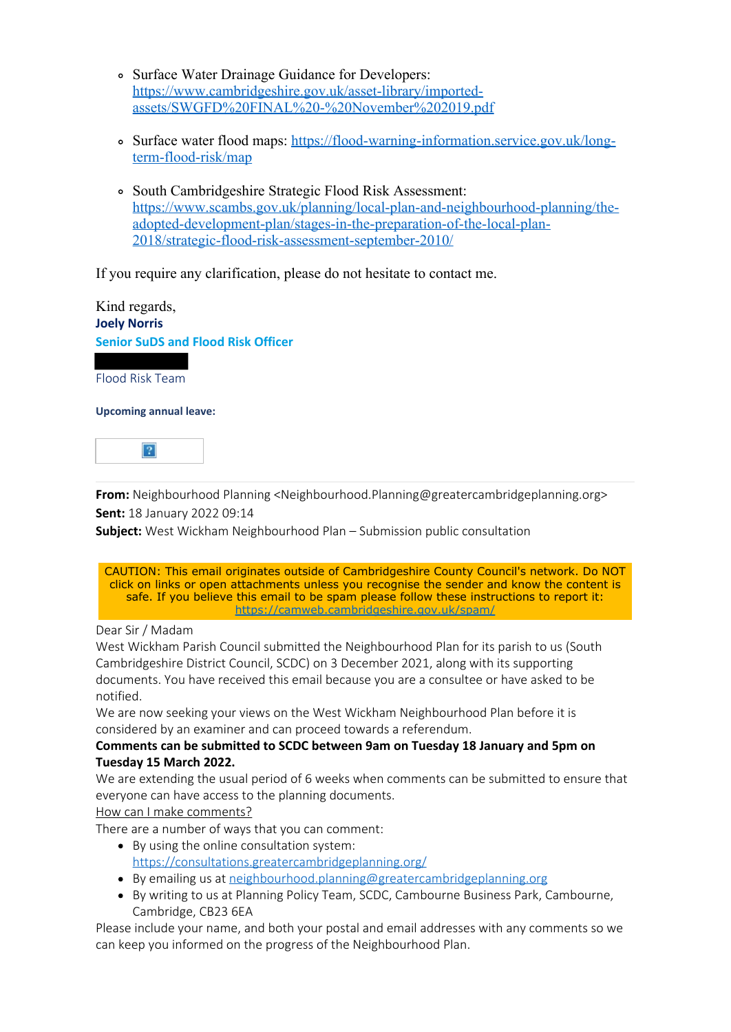- Surface Water Drainage Guidance for Developers: https://www.cambridgeshire.gov.uk/asset-library/importedassets/SWGFD%20FINAL%20-%20November%202019.pdf
- Surface water flood maps: https://flood-warning-information.service.gov.uk/longterm-flood-risk/map
- South Cambridgeshire Strategic Flood Risk Assessment: https://www.scambs.gov.uk/planning/local-plan-and-neighbourhood-planning/theadopted-development-plan/stages-in-the-preparation-of-the-local-plan-2018/strategic-flood-risk-assessment-september-2010/

If you require any clarification, please do not hesitate to contact me.

Kind regards, **Joely Norris Senior SuDS and Flood Risk Officer** Flood Risk Team

**Upcoming annual leave:**



**From:** Neighbourhood Planning <Neighbourhood.Planning@greatercambridgeplanning.org> **Sent:** 18 January 2022 09:14

**Subject:** West Wickham Neighbourhood Plan – Submission public consultation



### Dear Sir / Madam

West Wickham Parish Council submitted the Neighbourhood Plan for its parish to us (South Cambridgeshire District Council, SCDC) on 3 December 2021, along with its supporting documents. You have received this email because you are a consultee or have asked to be notified.

We are now seeking your views on the West Wickham Neighbourhood Plan before it is considered by an examiner and can proceed towards a referendum.

#### **Comments can be submitted to SCDC between 9am on Tuesday 18 January and 5pm on Tuesday 15 March 2022.**

We are extending the usual period of 6 weeks when comments can be submitted to ensure that everyone can have access to the planning documents.

#### How can I make comments?

There are a number of ways that you can comment:

- By using the online consultation system: https://consultations.greatercambridgeplanning.org/
- By emailing us at neighbourhood.planning@greatercambridgeplanning.org
- By writing to us at Planning Policy Team, SCDC, Cambourne Business Park, Cambourne, Cambridge, CB23 6EA

Please include your name, and both your postal and email addresses with any comments so we can keep you informed on the progress of the Neighbourhood Plan.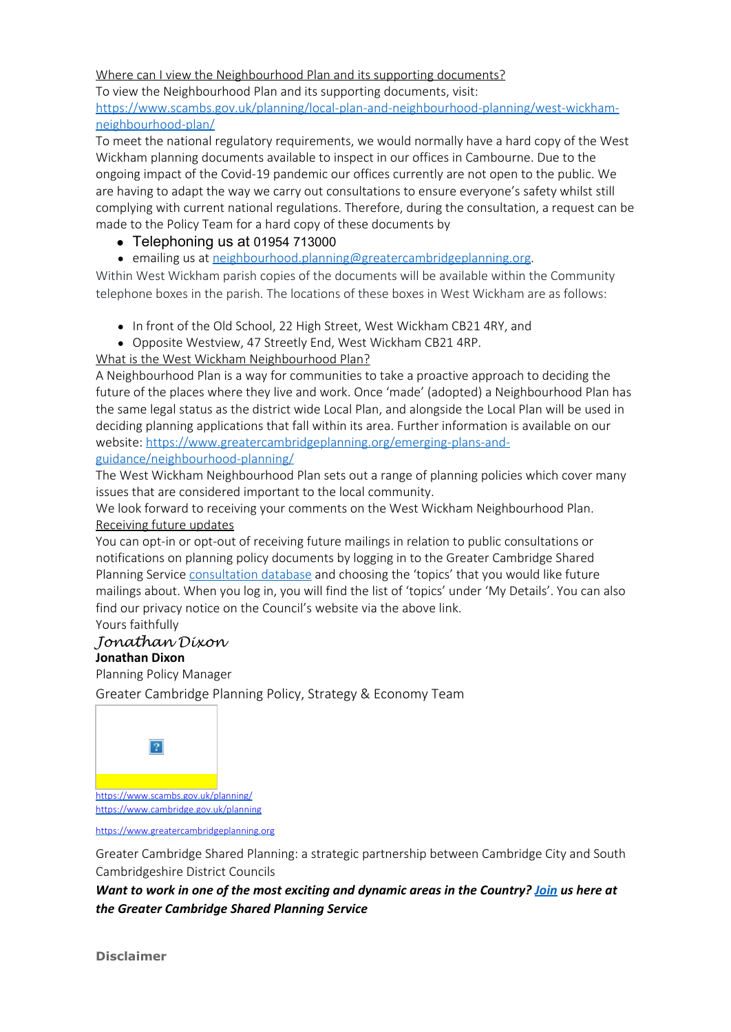## Where can I view the Neighbourhood Plan and its supporting documents?

To view the Neighbourhood Plan and its supporting documents, visit: https://www.scambs.gov.uk/planning/local-plan-and-neighbourhood-planning/west-wickhamneighbourhood-plan/

To meet the national regulatory requirements, we would normally have a hard copy of the West Wickham planning documents available to inspect in our offices in Cambourne. Due to the ongoing impact of the Covid-19 pandemic our offices currently are not open to the public. We are having to adapt the way we carry out consultations to ensure everyone's safety whilst still complying with current national regulations. Therefore, during the consultation, a request can be made to the Policy Team for a hard copy of these documents by

- Telephoning us at 01954 713000
- emailing us at neighbourhood.planning@greatercambridgeplanning.org.

Within West Wickham parish copies of the documents will be available within the Community telephone boxes in the parish. The locations of these boxes in West Wickham are as follows:

- In front of the Old School, 22 High Street, West Wickham CB21 4RY, and
- Opposite Westview, 47 Streetly End, West Wickham CB21 4RP.

## What is the West Wickham Neighbourhood Plan?

A Neighbourhood Plan is a way for communities to take a proactive approach to deciding the future of the places where they live and work. Once 'made' (adopted) a Neighbourhood Plan has the same legal status as the district wide Local Plan, and alongside the Local Plan will be used in deciding planning applications that fall within its area. Further information is available on our website: https://www.greatercambridgeplanning.org/emerging-plans-andguidance/neighbourhood-planning/

The West Wickham Neighbourhood Plan sets out a range of planning policies which cover many issues that are considered important to the local community.

We look forward to receiving your comments on the West Wickham Neighbourhood Plan. Receiving future updates

You can opt-in or opt-out of receiving future mailings in relation to public consultations or notifications on planning policy documents by logging in to the Greater Cambridge Shared Planning Service consultation database and choosing the 'topics' that you would like future mailings about. When you log in, you will find the list of 'topics' under 'My Details'. You can also find our privacy notice on the Council's website via the above link. Yours faithfully

# *Jonathan Dixon*

# **Jonathan Dixon**

Planning Policy Manager

Greater Cambridge Planning Policy, Strategy & Economy Team



https://www.greatercambridgeplanning.org

Greater Cambridge Shared Planning: a strategic partnership between Cambridge City and South Cambridgeshire District Councils

*Want to work in one of the most exciting and dynamic areas in the Country? Join us here at the Greater Cambridge Shared Planning Service*